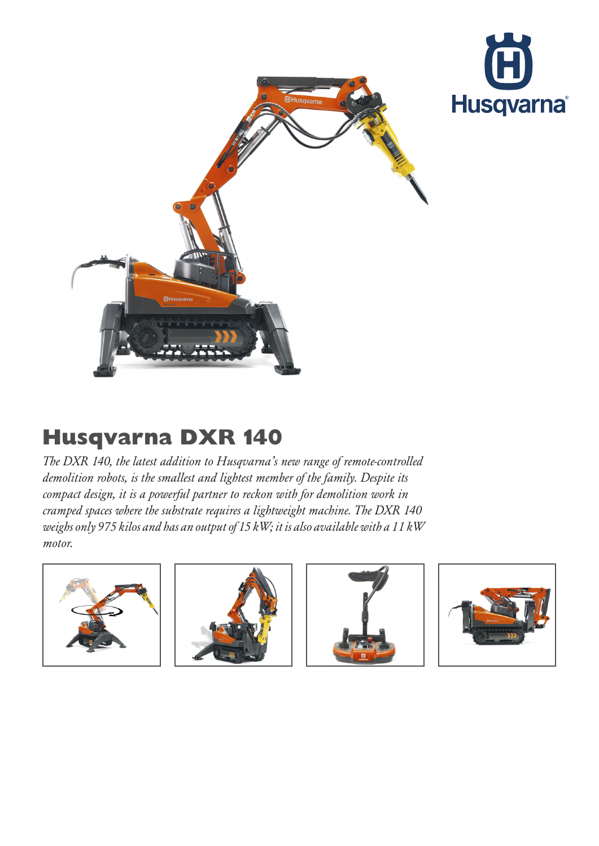



## Husqvarna DXR 140

The DXR 140, the latest addition to Husqvarna's new range of remote-controlled demolition robots, is the smallest and lightest member of the family. Despite its compact design, it is a powerful partner to reckon with for demolition work in cramped spaces where the substrate requires a lightweight machine. The DXR 140 weighs only 975 kilos and has an output of 15 kW; it is also available with a 11 kW motor.